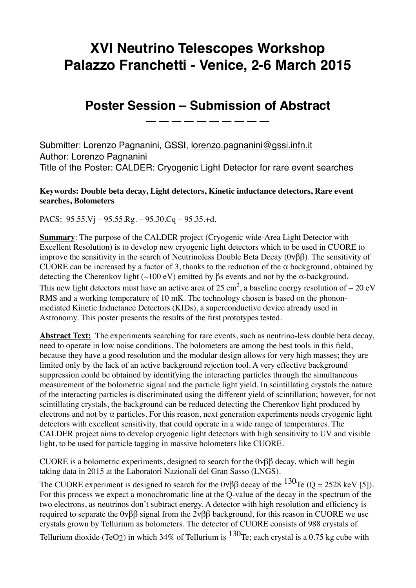## **XVI Neutrino Telescopes Workshop Palazzo Franchetti - Venice, 2-6 March 2015**

## **Poster Session – Submission of Abstract**

**——————————**

Submitter: Lorenzo Pagnanini, GSSI, [lorenzo.pagnanini@gssi.infn.it](mailto:lorenzo.pagnanini@gssi.infn.it) Author: Lorenzo Pagnanini Title of the Poster: CALDER: Cryogenic Light Detector for rare event searches

## **Keywords: Double beta decay, Light detectors, Kinetic inductance detectors, Rare event searches, Bolometers**

PACS: 95.55.Vj – 95.55.Rg. – 95.30.Cq – 95.35.+d.

**Summary**: The purpose of the CALDER project (Cryogenic wide-Area Light Detector with Excellent Resolution) is to develop new cryogenic light detectors which to be used in CUORE to improve the sensitivity in the search of Neutrinoless Double Beta Decay (0νββ). The sensitivity of CUORE can be increased by a factor of 3, thanks to the reduction of the  $\alpha$  background, obtained by detecting the Cherenkov light (∼100 eV) emitted by βs events and not by the α-background. This new light detectors must have an active area of 25 cm<sup>2</sup>, a baseline energy resolution of ~ 20 eV RMS and a working temperature of 10 mK. The technology chosen is based on the phononmediated Kinetic Inductance Detectors (KIDs), a superconductive device already used in Astronomy. This poster presents the results of the first prototypes tested.

**Abstract Text:** The experiments searching for rare events, such as neutrino-less double beta decay, need to operate in low noise conditions. The bolometers are among the best tools in this field, because they have a good resolution and the modular design allows for very high masses; they are limited only by the lack of an active background rejection tool. A very effective background suppression could be obtained by identifying the interacting particles through the simultaneous measurement of the bolometric signal and the particle light yield. In scintillating crystals the nature of the interacting particles is discriminated using the different yield of scintillation; however, for not scintillating crystals, the background can be reduced detecting the Cherenkov light produced by electrons and not by  $\alpha$  particles. For this reason, next generation experiments needs cryogenic light detectors with excellent sensitivity, that could operate in a wide range of temperatures. The CALDER project aims to develop cryogenic light detectors with high sensitivity to UV and visible light, to be used for particle tagging in massive bolometers like CUORE.

CUORE is a bolometric experiments, designed to search for the 0νββ decay, which will begin taking data in 2015 at the Laboratori Nazionali del Gran Sasso (LNGS).

The CUORE experiment is designed to search for the 0ν $\beta\beta$  decay of the <sup>130</sup>Te (Q = 2528 keV [5]). For this process we expect a monochromatic line at the Q-value of the decay in the spectrum of the two electrons, as neutrinos don't subtract energy. A detector with high resolution and efficiency is required to separate the 0νββ signal from the 2νββ background, for this reason in CUORE we use crystals grown by Tellurium as bolometers. The detector of CUORE consists of 988 crystals of Tellurium dioxide (TeO2) in which 34% of Tellurium is  $130$ Te; each crystal is a 0.75 kg cube with